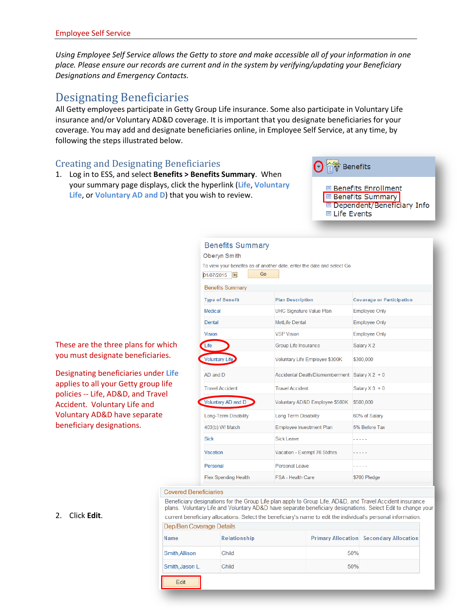*Using Employee Self Service allows the Getty to store and make accessible all of your information in one place. Please ensure our records are current and in the system by verifying/updating your Beneficiary Designations and Emergency Contacts.* 

# Designating Beneficiaries

These are the three plans for which you must designate beneficiaries.

Designating beneficiaries under **Life** applies to all your Getty group life policies -- Life, AD&D, and Travel Accident. Voluntary Life and Voluntary AD&D have separate beneficiary designations.

All Getty employees participate in Getty Group Life insurance. Some also participate in Voluntary Life insurance and/or Voluntary AD&D coverage. It is important that you designate beneficiaries for your coverage. You may add and designate beneficiaries online, in Employee Self Service, at any time, by following the steps illustrated below.

### Creating and Designating Beneficiaries

1. Log in to ESS, and select **Benefits > Benefits Summary**. When your summary page displays, click the hyperlink (**Life**, **Voluntary Life**, or **Voluntary AD and D**) that you wish to review.



### **Benefits Summary**

| Oberyn Smith                                                            |                                       |                                  |  |  |  |  |  |  |  |
|-------------------------------------------------------------------------|---------------------------------------|----------------------------------|--|--|--|--|--|--|--|
| To view your benefits as of another date, enter the date and select Go. |                                       |                                  |  |  |  |  |  |  |  |
| Go<br>01/07/2015<br>B1                                                  |                                       |                                  |  |  |  |  |  |  |  |
| <b>Benefits Summary</b>                                                 |                                       |                                  |  |  |  |  |  |  |  |
| <b>Type of Benefit</b>                                                  | <b>Plan Description</b>               | <b>Coverage or Participation</b> |  |  |  |  |  |  |  |
| Medical                                                                 | <b>UHC Signature Value Plan</b>       | <b>Employee Only</b>             |  |  |  |  |  |  |  |
| Dental                                                                  | MetLife Dental                        | <b>Employee Only</b>             |  |  |  |  |  |  |  |
| <b>Vision</b>                                                           | <b>VSP Vision</b>                     | <b>Employee Only</b>             |  |  |  |  |  |  |  |
| Life                                                                    | Group Life Insurance                  | Salary X2                        |  |  |  |  |  |  |  |
| Voluntary Life                                                          | Voluntary Life Employee \$300K        | \$300,000                        |  |  |  |  |  |  |  |
| AD and D                                                                | <b>Accidental Death/Dismemberment</b> | Salary $X$ 2 + 0                 |  |  |  |  |  |  |  |
| <b>Travel Accident</b>                                                  | <b>Travel Accident</b>                | Salary $X$ 3 + 0                 |  |  |  |  |  |  |  |
| Voluntary AD and D                                                      | Voluntary AD&D Employee \$500K        | \$500,000                        |  |  |  |  |  |  |  |
| Long-Term Disability                                                    | <b>Long Term Disability</b>           | 60% of Salary                    |  |  |  |  |  |  |  |
| 403(b) W/ Match                                                         | <b>Employee Investment Plan</b>       | 5% Before Tax                    |  |  |  |  |  |  |  |
| <b>Sick</b>                                                             | <b>Sick Leave</b>                     |                                  |  |  |  |  |  |  |  |
| Vacation                                                                | Vacation - Exempt 76 Stdhrs           |                                  |  |  |  |  |  |  |  |
| Personal                                                                | Personal Leave                        |                                  |  |  |  |  |  |  |  |
| <b>Flex Spending Health</b>                                             | <b>FSA - Health Care</b>              | \$700 Pledge                     |  |  |  |  |  |  |  |

#### **Covered Beneficiaries**

Beneficiary designations for the Group Life plan apply to Group Life, AD&D, and Travel Accident insurance plans. Voluntary Life and Voluntary AD&D have separate beneficiary designations. Select Edit to change your current beneficiary allocations. Select the beneficiary's name to edit the individual's personal information.

| Dep/Ben Coverage Details |                     |     |                                                |  |  |  |  |  |
|--------------------------|---------------------|-----|------------------------------------------------|--|--|--|--|--|
| Name                     | <b>Relationship</b> |     | <b>Primary Allocation Secondary Allocation</b> |  |  |  |  |  |
| Smith, Allison           | Child               | 50% |                                                |  |  |  |  |  |
| Smith, Jason L.          | Child               | 50% |                                                |  |  |  |  |  |
|                          |                     |     |                                                |  |  |  |  |  |

2. Click **Edit**.

Edit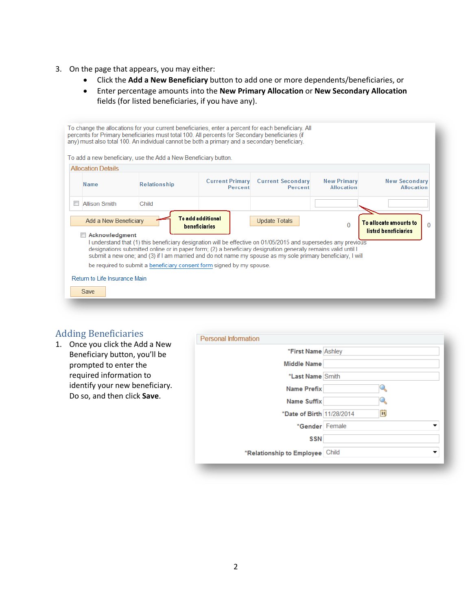- 3. On the page that appears, you may either:
	- Click the **Add a New Beneficiary** button to add one or more dependents/beneficiaries, or
	- Enter percentage amounts into the **New Primary Allocation** or **New Secondary Allocation** fields (for listed beneficiaries, if you have any).

|                                                                                                                                                                                                                                                                                                                                                                                                                                                                                                                                                                                                                                               |                                       | To change the allocations for your current beneficiaries, enter a percent for each beneficiary. All<br>percents for Primary beneficiaries must total 100. All percents for Secondary beneficiaries (if<br>any) must also total 100. An individual cannot be both a primary and a secondary beneficiary.<br>To add a new beneficiary, use the Add a New Beneficiary button. |  |  |  |  |  |  |  |
|-----------------------------------------------------------------------------------------------------------------------------------------------------------------------------------------------------------------------------------------------------------------------------------------------------------------------------------------------------------------------------------------------------------------------------------------------------------------------------------------------------------------------------------------------------------------------------------------------------------------------------------------------|---------------------------------------|----------------------------------------------------------------------------------------------------------------------------------------------------------------------------------------------------------------------------------------------------------------------------------------------------------------------------------------------------------------------------|--|--|--|--|--|--|--|
|                                                                                                                                                                                                                                                                                                                                                                                                                                                                                                                                                                                                                                               | <b>Allocation Details</b>             |                                                                                                                                                                                                                                                                                                                                                                            |  |  |  |  |  |  |  |
| <b>Current Secondary</b><br><b>New Primary</b><br><b>New Secondary</b><br><b>Current Primary</b><br><b>Relationship</b><br><b>Name</b><br><b>Allocation</b><br><b>Allocation</b><br>Percent<br>Percent                                                                                                                                                                                                                                                                                                                                                                                                                                        |                                       |                                                                                                                                                                                                                                                                                                                                                                            |  |  |  |  |  |  |  |
| $\overline{\phantom{a}}$                                                                                                                                                                                                                                                                                                                                                                                                                                                                                                                                                                                                                      | <b>Allison Smith</b>                  | Child                                                                                                                                                                                                                                                                                                                                                                      |  |  |  |  |  |  |  |
| <b>To add additional</b><br>Add a New Beneficiary<br><b>Update Totals</b><br>To allocate amounts to<br>$\Omega$<br>0<br><b>beneficiaries</b><br>listed beneficiaries<br>Acknowledgment<br>$\overline{\mathbb{R}^n}$<br>I understand that (1) this beneficiary designation will be effective on 01/05/2015 and supersedes any previous<br>designations submitted online or in paper form; (2) a beneficiary designation generally remains valid until I<br>submit a new one; and (3) if I am married and do not name my spouse as my sole primary beneficiary, I will<br>be required to submit a beneficiary consent form signed by my spouse. |                                       |                                                                                                                                                                                                                                                                                                                                                                            |  |  |  |  |  |  |  |
|                                                                                                                                                                                                                                                                                                                                                                                                                                                                                                                                                                                                                                               | Return to Life Insurance Main<br>Save |                                                                                                                                                                                                                                                                                                                                                                            |  |  |  |  |  |  |  |

## Adding Beneficiaries

1. Once you click the Add a New Beneficiary button, you'll be prompted to enter the required information to identify your new beneficiary. Do so, and then click **Save**.

| *First Name Ashley              |     |
|---------------------------------|-----|
| <b>Middle Name</b>              |     |
| *Last Name Smith                |     |
| <b>Name Prefix</b>              |     |
| <b>Name Suffix</b>              |     |
| *Date of Birth 11/28/2014       | 31, |
| *Gender Female                  |     |
| <b>SSN</b>                      |     |
| *Relationship to Employee Child |     |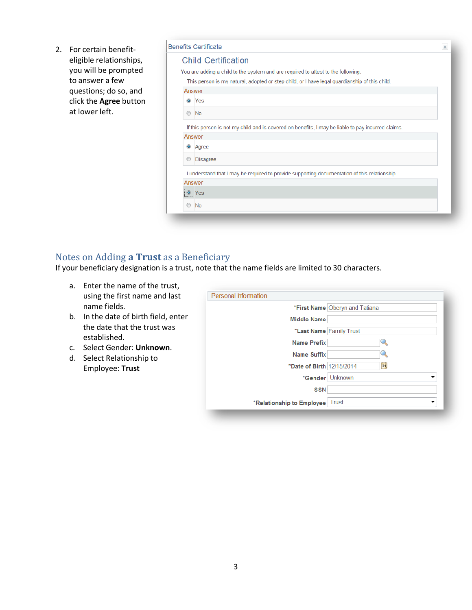2. For certain benefiteligible relationships, you will be prompted to answer a few questions; do so, and click the **Agree** button at lower left.

|                | <b>Benefits Certificate</b>                                                                                  |  |  |  |  |  |  |  |  |
|----------------|--------------------------------------------------------------------------------------------------------------|--|--|--|--|--|--|--|--|
|                | <b>Child Certification</b>                                                                                   |  |  |  |  |  |  |  |  |
|                | You are adding a child to the system and are required to attest to the following:                            |  |  |  |  |  |  |  |  |
|                | This person is my natural, adopted or step child, or I have legal guardianship of this child.                |  |  |  |  |  |  |  |  |
|                | Answer                                                                                                       |  |  |  |  |  |  |  |  |
| $\bullet$      | Yes                                                                                                          |  |  |  |  |  |  |  |  |
| $\circledcirc$ | <b>No</b>                                                                                                    |  |  |  |  |  |  |  |  |
|                | If this person is not my child and is covered on benefits, I may be liable to pay incurred claims.<br>Answer |  |  |  |  |  |  |  |  |
| $\bullet$      | Agree                                                                                                        |  |  |  |  |  |  |  |  |
| $\circledcirc$ | <b>Disagree</b>                                                                                              |  |  |  |  |  |  |  |  |
|                | I understand that I may be required to provide supporting documentation of this relationship.                |  |  |  |  |  |  |  |  |
|                | Answer                                                                                                       |  |  |  |  |  |  |  |  |
|                | $\bullet$ Yes                                                                                                |  |  |  |  |  |  |  |  |
| $\circledcirc$ | <b>No</b>                                                                                                    |  |  |  |  |  |  |  |  |
|                |                                                                                                              |  |  |  |  |  |  |  |  |

### Notes on Adding **a Trust** as a Beneficiary

If your beneficiary designation is a trust, note that the name fields are limited to 30 characters.

- a. Enter the name of the trust, using the first name and last name fields.
- b. In the date of birth field, enter the date that the trust was established.
- c. Select Gender: **Unknown**.
- d. Select Relationship to Employee: **Trust**

| Personal Information            |                                |    |  |  |  |  |
|---------------------------------|--------------------------------|----|--|--|--|--|
|                                 | *First Name Oberyn and Tatiana |    |  |  |  |  |
| <b>Middle Name</b>              |                                |    |  |  |  |  |
| *Last Name Family Trust         |                                |    |  |  |  |  |
| <b>Name Prefix</b>              |                                |    |  |  |  |  |
| <b>Name Suffix</b>              |                                |    |  |  |  |  |
| *Date of Birth 12/15/2014       |                                | 31 |  |  |  |  |
|                                 | *Gender Unknown                |    |  |  |  |  |
| <b>SSN</b>                      |                                |    |  |  |  |  |
| *Relationship to Employee Trust |                                |    |  |  |  |  |